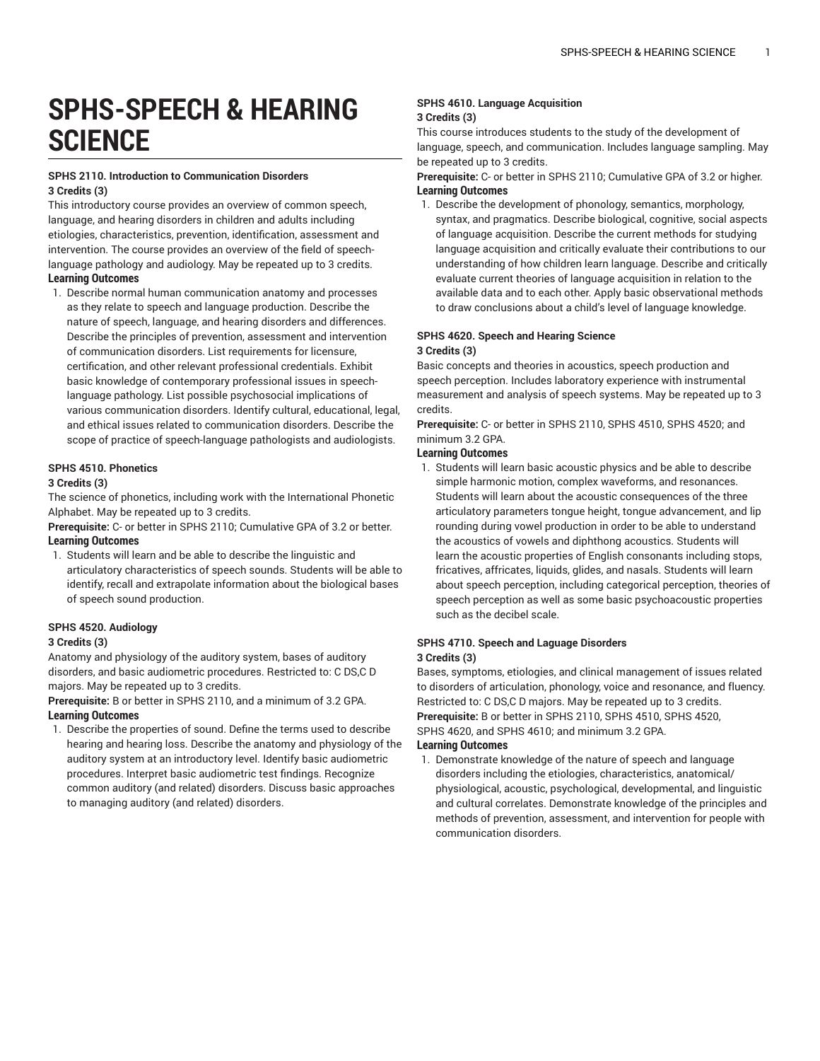# **SPHS-SPEECH & HEARING SCIENCE**

## **SPHS 2110. Introduction to Communication Disorders 3 Credits (3)**

This introductory course provides an overview of common speech, language, and hearing disorders in children and adults including etiologies, characteristics, prevention, identification, assessment and intervention. The course provides an overview of the field of speechlanguage pathology and audiology. May be repeated up to 3 credits. **Learning Outcomes**

1. Describe normal human communication anatomy and processes as they relate to speech and language production. Describe the nature of speech, language, and hearing disorders and differences. Describe the principles of prevention, assessment and intervention of communication disorders. List requirements for licensure, certification, and other relevant professional credentials. Exhibit basic knowledge of contemporary professional issues in speechlanguage pathology. List possible psychosocial implications of various communication disorders. Identify cultural, educational, legal, and ethical issues related to communication disorders. Describe the scope of practice of speech-language pathologists and audiologists.

## **SPHS 4510. Phonetics**

## **3 Credits (3)**

The science of phonetics, including work with the International Phonetic Alphabet. May be repeated up to 3 credits.

**Prerequisite:** C- or better in SPHS 2110; Cumulative GPA of 3.2 or better. **Learning Outcomes**

1. Students will learn and be able to describe the linguistic and articulatory characteristics of speech sounds. Students will be able to identify, recall and extrapolate information about the biological bases of speech sound production.

## **SPHS 4520. Audiology**

#### **3 Credits (3)**

Anatomy and physiology of the auditory system, bases of auditory disorders, and basic audiometric procedures. Restricted to: C DS,C D majors. May be repeated up to 3 credits.

**Prerequisite:** B or better in SPHS 2110, and a minimum of 3.2 GPA. **Learning Outcomes**

1. Describe the properties of sound. Define the terms used to describe hearing and hearing loss. Describe the anatomy and physiology of the auditory system at an introductory level. Identify basic audiometric procedures. Interpret basic audiometric test findings. Recognize common auditory (and related) disorders. Discuss basic approaches to managing auditory (and related) disorders.

## **SPHS 4610. Language Acquisition 3 Credits (3)**

This course introduces students to the study of the development of language, speech, and communication. Includes language sampling. May be repeated up to 3 credits.

## **Prerequisite:** C- or better in SPHS 2110; Cumulative GPA of 3.2 or higher. **Learning Outcomes**

1. Describe the development of phonology, semantics, morphology, syntax, and pragmatics. Describe biological, cognitive, social aspects of language acquisition. Describe the current methods for studying language acquisition and critically evaluate their contributions to our understanding of how children learn language. Describe and critically evaluate current theories of language acquisition in relation to the available data and to each other. Apply basic observational methods to draw conclusions about a child's level of language knowledge.

# **SPHS 4620. Speech and Hearing Science 3 Credits (3)**

Basic concepts and theories in acoustics, speech production and speech perception. Includes laboratory experience with instrumental measurement and analysis of speech systems. May be repeated up to 3 credits.

**Prerequisite:** C- or better in SPHS 2110, SPHS 4510, SPHS 4520; and minimum 3.2 GPA.

## **Learning Outcomes**

1. Students will learn basic acoustic physics and be able to describe simple harmonic motion, complex waveforms, and resonances. Students will learn about the acoustic consequences of the three articulatory parameters tongue height, tongue advancement, and lip rounding during vowel production in order to be able to understand the acoustics of vowels and diphthong acoustics. Students will learn the acoustic properties of English consonants including stops, fricatives, affricates, liquids, glides, and nasals. Students will learn about speech perception, including categorical perception, theories of speech perception as well as some basic psychoacoustic properties such as the decibel scale.

## **SPHS 4710. Speech and Laguage Disorders 3 Credits (3)**

communication disorders.

Bases, symptoms, etiologies, and clinical management of issues related to disorders of articulation, phonology, voice and resonance, and fluency. Restricted to: C DS,C D majors. May be repeated up to 3 credits. **Prerequisite:** B or better in SPHS 2110, SPHS 4510, SPHS 4520, SPHS 4620, and SPHS 4610; and minimum 3.2 GPA. **Learning Outcomes**

# 1. Demonstrate knowledge of the nature of speech and language disorders including the etiologies, characteristics, anatomical/ physiological, acoustic, psychological, developmental, and linguistic and cultural correlates. Demonstrate knowledge of the principles and methods of prevention, assessment, and intervention for people with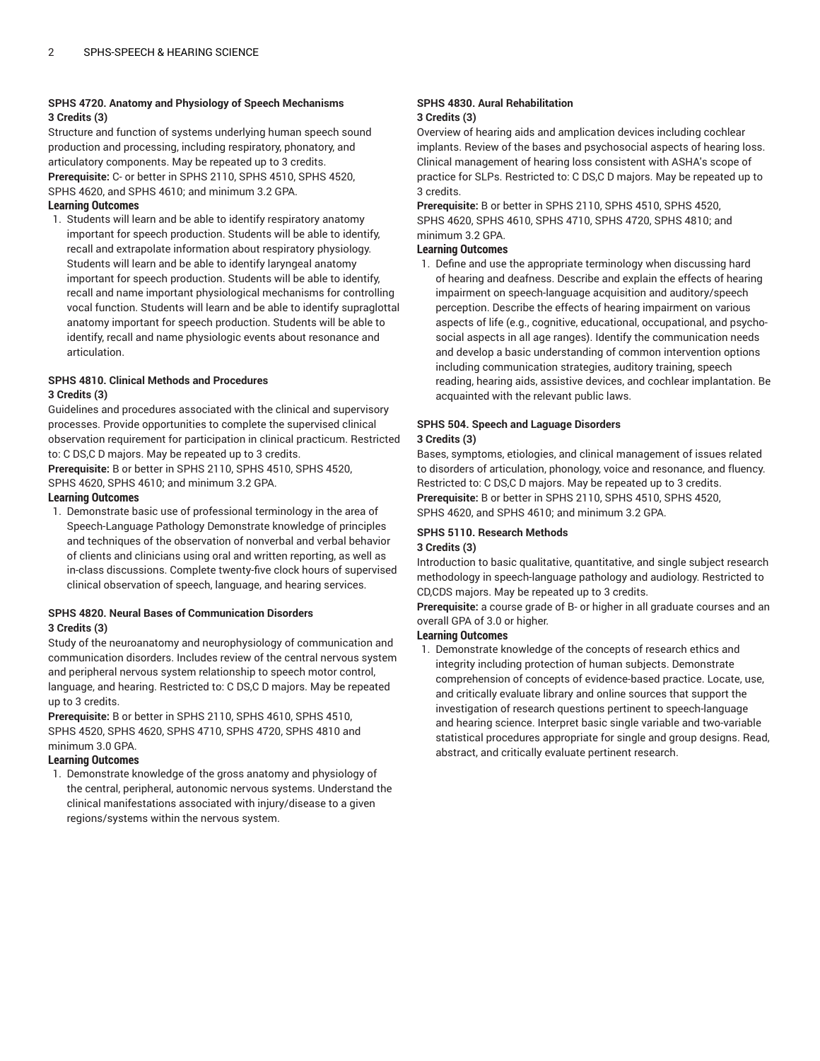# **SPHS 4720. Anatomy and Physiology of Speech Mechanisms 3 Credits (3)**

Structure and function of systems underlying human speech sound production and processing, including respiratory, phonatory, and articulatory components. May be repeated up to 3 credits. **Prerequisite:** C- or better in SPHS 2110, SPHS 4510, SPHS 4520, SPHS 4620, and SPHS 4610; and minimum 3.2 GPA.

# **Learning Outcomes**

1. Students will learn and be able to identify respiratory anatomy important for speech production. Students will be able to identify, recall and extrapolate information about respiratory physiology. Students will learn and be able to identify laryngeal anatomy important for speech production. Students will be able to identify, recall and name important physiological mechanisms for controlling vocal function. Students will learn and be able to identify supraglottal anatomy important for speech production. Students will be able to identify, recall and name physiologic events about resonance and articulation.

## **SPHS 4810. Clinical Methods and Procedures 3 Credits (3)**

Guidelines and procedures associated with the clinical and supervisory processes. Provide opportunities to complete the supervised clinical observation requirement for participation in clinical practicum. Restricted to: C DS,C D majors. May be repeated up to 3 credits.

**Prerequisite:** B or better in SPHS 2110, SPHS 4510, SPHS 4520, SPHS 4620, SPHS 4610; and minimum 3.2 GPA.

# **Learning Outcomes**

1. Demonstrate basic use of professional terminology in the area of Speech-Language Pathology Demonstrate knowledge of principles and techniques of the observation of nonverbal and verbal behavior of clients and clinicians using oral and written reporting, as well as in-class discussions. Complete twenty-five clock hours of supervised clinical observation of speech, language, and hearing services.

## **SPHS 4820. Neural Bases of Communication Disorders 3 Credits (3)**

Study of the neuroanatomy and neurophysiology of communication and communication disorders. Includes review of the central nervous system and peripheral nervous system relationship to speech motor control, language, and hearing. Restricted to: C DS,C D majors. May be repeated up to 3 credits.

**Prerequisite:** B or better in SPHS 2110, SPHS 4610, SPHS 4510, SPHS 4520, SPHS 4620, SPHS 4710, SPHS 4720, SPHS 4810 and minimum 3.0 GPA.

# **Learning Outcomes**

1. Demonstrate knowledge of the gross anatomy and physiology of the central, peripheral, autonomic nervous systems. Understand the clinical manifestations associated with injury/disease to a given regions/systems within the nervous system.

## **SPHS 4830. Aural Rehabilitation 3 Credits (3)**

Overview of hearing aids and amplication devices including cochlear implants. Review of the bases and psychosocial aspects of hearing loss. Clinical management of hearing loss consistent with ASHA's scope of practice for SLPs. Restricted to: C DS,C D majors. May be repeated up to 3 credits.

**Prerequisite:** B or better in SPHS 2110, SPHS 4510, SPHS 4520, SPHS 4620, SPHS 4610, SPHS 4710, SPHS 4720, SPHS 4810; and minimum 3.2 GPA.

# **Learning Outcomes**

1. Define and use the appropriate terminology when discussing hard of hearing and deafness. Describe and explain the effects of hearing impairment on speech-language acquisition and auditory/speech perception. Describe the effects of hearing impairment on various aspects of life (e.g., cognitive, educational, occupational, and psychosocial aspects in all age ranges). Identify the communication needs and develop a basic understanding of common intervention options including communication strategies, auditory training, speech reading, hearing aids, assistive devices, and cochlear implantation. Be acquainted with the relevant public laws.

## **SPHS 504. Speech and Laguage Disorders 3 Credits (3)**

Bases, symptoms, etiologies, and clinical management of issues related to disorders of articulation, phonology, voice and resonance, and fluency. Restricted to: C DS,C D majors. May be repeated up to 3 credits. **Prerequisite:** B or better in SPHS 2110, SPHS 4510, SPHS 4520, SPHS 4620, and SPHS 4610; and minimum 3.2 GPA.

# **SPHS 5110. Research Methods**

# **3 Credits (3)**

Introduction to basic qualitative, quantitative, and single subject research methodology in speech-language pathology and audiology. Restricted to CD,CDS majors. May be repeated up to 3 credits.

**Prerequisite:** a course grade of B- or higher in all graduate courses and an overall GPA of 3.0 or higher.

# **Learning Outcomes**

1. Demonstrate knowledge of the concepts of research ethics and integrity including protection of human subjects. Demonstrate comprehension of concepts of evidence-based practice. Locate, use, and critically evaluate library and online sources that support the investigation of research questions pertinent to speech-language and hearing science. Interpret basic single variable and two-variable statistical procedures appropriate for single and group designs. Read, abstract, and critically evaluate pertinent research.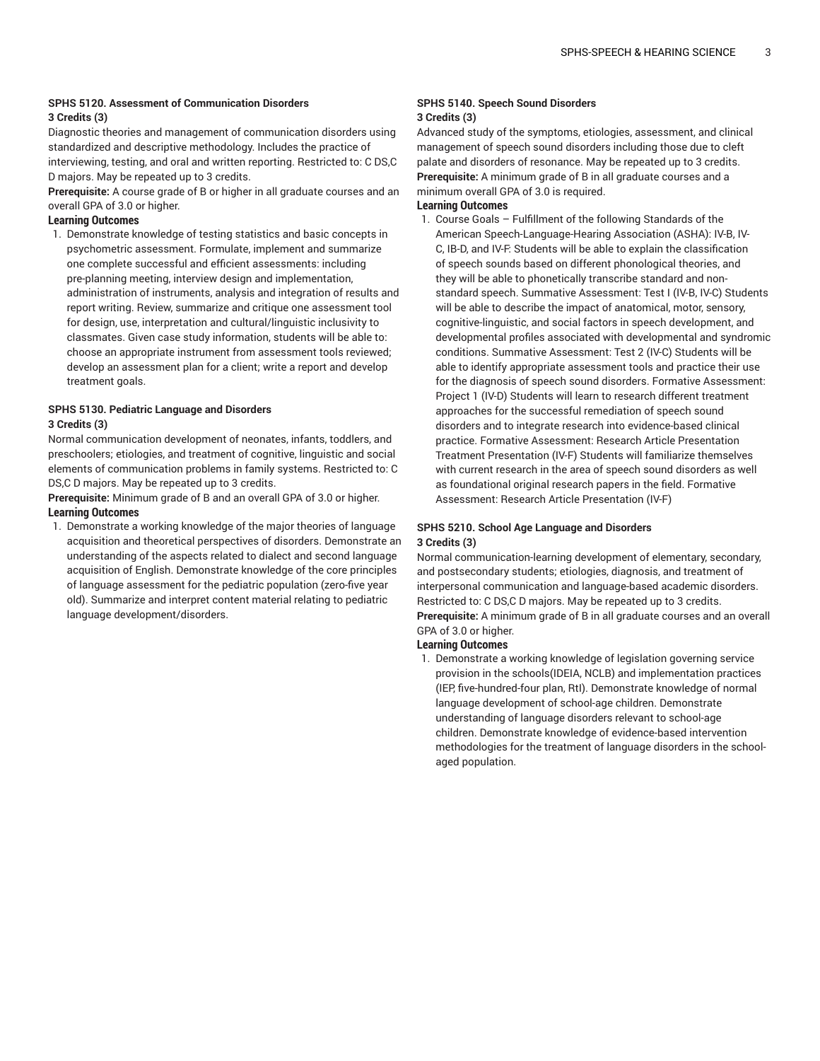# **SPHS 5120. Assessment of Communication Disorders**

## **3 Credits (3)**

Diagnostic theories and management of communication disorders using standardized and descriptive methodology. Includes the practice of interviewing, testing, and oral and written reporting. Restricted to: C DS,C D majors. May be repeated up to 3 credits.

**Prerequisite:** A course grade of B or higher in all graduate courses and an overall GPA of 3.0 or higher.

## **Learning Outcomes**

1. Demonstrate knowledge of testing statistics and basic concepts in psychometric assessment. Formulate, implement and summarize one complete successful and efficient assessments: including pre-planning meeting, interview design and implementation, administration of instruments, analysis and integration of results and report writing. Review, summarize and critique one assessment tool for design, use, interpretation and cultural/linguistic inclusivity to classmates. Given case study information, students will be able to: choose an appropriate instrument from assessment tools reviewed; develop an assessment plan for a client; write a report and develop treatment goals.

## **SPHS 5130. Pediatric Language and Disorders 3 Credits (3)**

Normal communication development of neonates, infants, toddlers, and preschoolers; etiologies, and treatment of cognitive, linguistic and social elements of communication problems in family systems. Restricted to: C DS,C D majors. May be repeated up to 3 credits.

**Prerequisite:** Minimum grade of B and an overall GPA of 3.0 or higher. **Learning Outcomes**

1. Demonstrate a working knowledge of the major theories of language acquisition and theoretical perspectives of disorders. Demonstrate an understanding of the aspects related to dialect and second language acquisition of English. Demonstrate knowledge of the core principles of language assessment for the pediatric population (zero-five year old). Summarize and interpret content material relating to pediatric language development/disorders.

#### **SPHS 5140. Speech Sound Disorders 3 Credits (3)**

Advanced study of the symptoms, etiologies, assessment, and clinical management of speech sound disorders including those due to cleft palate and disorders of resonance. May be repeated up to 3 credits. **Prerequisite:** A minimum grade of B in all graduate courses and a minimum overall GPA of 3.0 is required.

# **Learning Outcomes**

1. Course Goals – Fulfillment of the following Standards of the American Speech-Language-Hearing Association (ASHA): IV-B, IV-C, IB-D, and IV-F: Students will be able to explain the classification of speech sounds based on different phonological theories, and they will be able to phonetically transcribe standard and nonstandard speech. Summative Assessment: Test I (IV-B, IV-C) Students will be able to describe the impact of anatomical, motor, sensory, cognitive-linguistic, and social factors in speech development, and developmental profiles associated with developmental and syndromic conditions. Summative Assessment: Test 2 (IV-C) Students will be able to identify appropriate assessment tools and practice their use for the diagnosis of speech sound disorders. Formative Assessment: Project 1 (IV-D) Students will learn to research different treatment approaches for the successful remediation of speech sound disorders and to integrate research into evidence-based clinical practice. Formative Assessment: Research Article Presentation Treatment Presentation (IV-F) Students will familiarize themselves with current research in the area of speech sound disorders as well as foundational original research papers in the field. Formative Assessment: Research Article Presentation (IV-F)

## **SPHS 5210. School Age Language and Disorders 3 Credits (3)**

Normal communication-learning development of elementary, secondary, and postsecondary students; etiologies, diagnosis, and treatment of interpersonal communication and language-based academic disorders. Restricted to: C DS,C D majors. May be repeated up to 3 credits. **Prerequisite:** A minimum grade of B in all graduate courses and an overall GPA of 3.0 or higher.

## **Learning Outcomes**

1. Demonstrate a working knowledge of legislation governing service provision in the schools(IDEIA, NCLB) and implementation practices (IEP, five-hundred-four plan, RtI). Demonstrate knowledge of normal language development of school-age children. Demonstrate understanding of language disorders relevant to school-age children. Demonstrate knowledge of evidence-based intervention methodologies for the treatment of language disorders in the schoolaged population.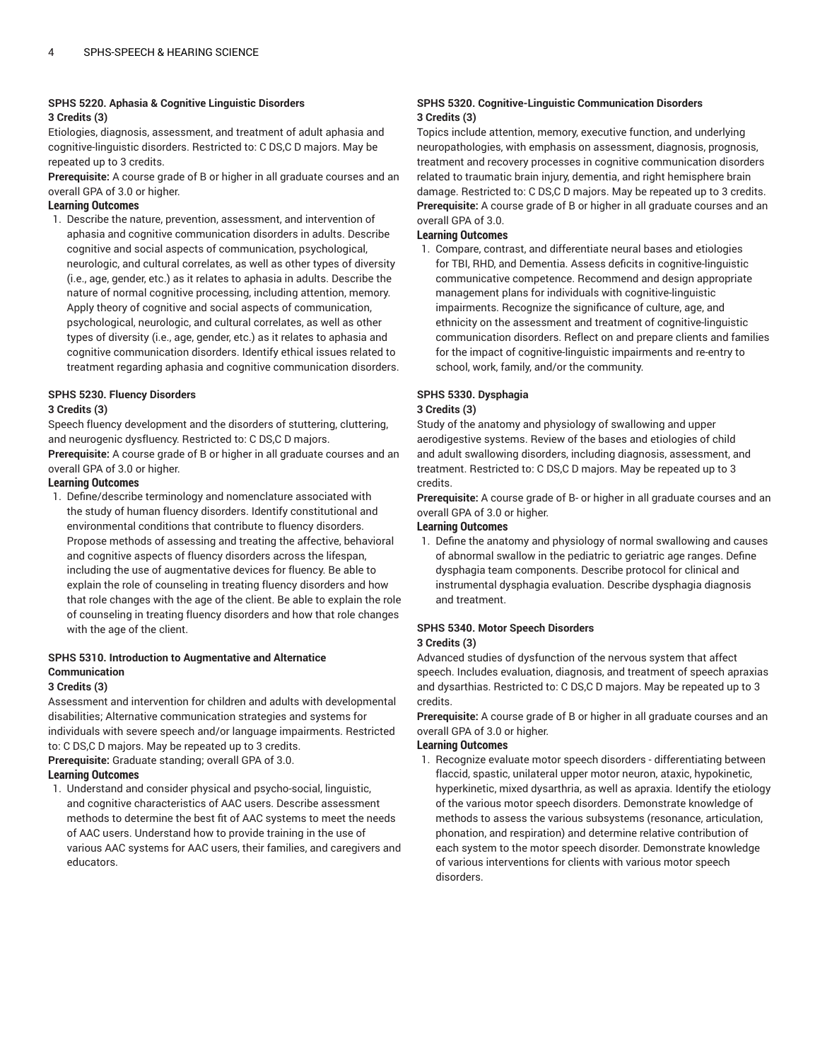## **SPHS 5220. Aphasia & Cognitive Linguistic Disorders 3 Credits (3)**

Etiologies, diagnosis, assessment, and treatment of adult aphasia and cognitive-linguistic disorders. Restricted to: C DS,C D majors. May be repeated up to 3 credits.

**Prerequisite:** A course grade of B or higher in all graduate courses and an overall GPA of 3.0 or higher.

# **Learning Outcomes**

1. Describe the nature, prevention, assessment, and intervention of aphasia and cognitive communication disorders in adults. Describe cognitive and social aspects of communication, psychological, neurologic, and cultural correlates, as well as other types of diversity (i.e., age, gender, etc.) as it relates to aphasia in adults. Describe the nature of normal cognitive processing, including attention, memory. Apply theory of cognitive and social aspects of communication, psychological, neurologic, and cultural correlates, as well as other types of diversity (i.e., age, gender, etc.) as it relates to aphasia and cognitive communication disorders. Identify ethical issues related to treatment regarding aphasia and cognitive communication disorders.

# **SPHS 5230. Fluency Disorders**

# **3 Credits (3)**

Speech fluency development and the disorders of stuttering, cluttering, and neurogenic dysfluency. Restricted to: C DS,C D majors. **Prerequisite:** A course grade of B or higher in all graduate courses and an overall GPA of 3.0 or higher.

# **Learning Outcomes**

1. Define/describe terminology and nomenclature associated with the study of human fluency disorders. Identify constitutional and environmental conditions that contribute to fluency disorders. Propose methods of assessing and treating the affective, behavioral and cognitive aspects of fluency disorders across the lifespan, including the use of augmentative devices for fluency. Be able to explain the role of counseling in treating fluency disorders and how that role changes with the age of the client. Be able to explain the role of counseling in treating fluency disorders and how that role changes with the age of the client.

# **SPHS 5310. Introduction to Augmentative and Alternatice Communication**

# **3 Credits (3)**

Assessment and intervention for children and adults with developmental disabilities; Alternative communication strategies and systems for individuals with severe speech and/or language impairments. Restricted to: C DS,C D majors. May be repeated up to 3 credits.

**Prerequisite:** Graduate standing; overall GPA of 3.0.

# **Learning Outcomes**

1. Understand and consider physical and psycho-social, linguistic, and cognitive characteristics of AAC users. Describe assessment methods to determine the best fit of AAC systems to meet the needs of AAC users. Understand how to provide training in the use of various AAC systems for AAC users, their families, and caregivers and educators.

## **SPHS 5320. Cognitive-Linguistic Communication Disorders 3 Credits (3)**

Topics include attention, memory, executive function, and underlying neuropathologies, with emphasis on assessment, diagnosis, prognosis, treatment and recovery processes in cognitive communication disorders related to traumatic brain injury, dementia, and right hemisphere brain damage. Restricted to: C DS,C D majors. May be repeated up to 3 credits. **Prerequisite:** A course grade of B or higher in all graduate courses and an overall GPA of 3.0.

# **Learning Outcomes**

1. Compare, contrast, and differentiate neural bases and etiologies for TBI, RHD, and Dementia. Assess deficits in cognitive-linguistic communicative competence. Recommend and design appropriate management plans for individuals with cognitive-linguistic impairments. Recognize the significance of culture, age, and ethnicity on the assessment and treatment of cognitive-linguistic communication disorders. Reflect on and prepare clients and families for the impact of cognitive-linguistic impairments and re-entry to school, work, family, and/or the community.

# **SPHS 5330. Dysphagia**

# **3 Credits (3)**

Study of the anatomy and physiology of swallowing and upper aerodigestive systems. Review of the bases and etiologies of child and adult swallowing disorders, including diagnosis, assessment, and treatment. Restricted to: C DS,C D majors. May be repeated up to 3 credits.

**Prerequisite:** A course grade of B- or higher in all graduate courses and an overall GPA of 3.0 or higher.

# **Learning Outcomes**

1. Define the anatomy and physiology of normal swallowing and causes of abnormal swallow in the pediatric to geriatric age ranges. Define dysphagia team components. Describe protocol for clinical and instrumental dysphagia evaluation. Describe dysphagia diagnosis and treatment.

# **SPHS 5340. Motor Speech Disorders 3 Credits (3)**

Advanced studies of dysfunction of the nervous system that affect speech. Includes evaluation, diagnosis, and treatment of speech apraxias and dysarthias. Restricted to: C DS,C D majors. May be repeated up to 3 credits.

**Prerequisite:** A course grade of B or higher in all graduate courses and an overall GPA of 3.0 or higher.

# **Learning Outcomes**

1. Recognize evaluate motor speech disorders - differentiating between flaccid, spastic, unilateral upper motor neuron, ataxic, hypokinetic, hyperkinetic, mixed dysarthria, as well as apraxia. Identify the etiology of the various motor speech disorders. Demonstrate knowledge of methods to assess the various subsystems (resonance, articulation, phonation, and respiration) and determine relative contribution of each system to the motor speech disorder. Demonstrate knowledge of various interventions for clients with various motor speech disorders.